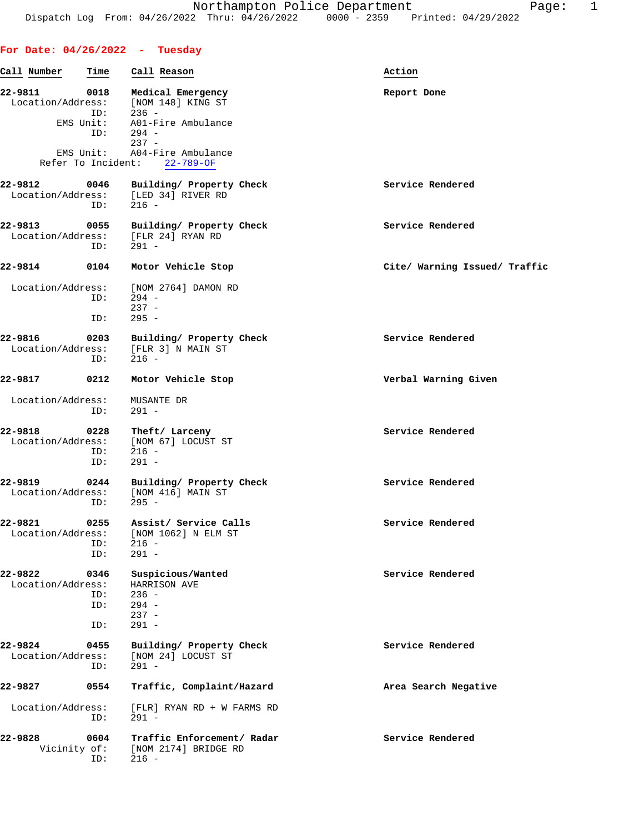## **For Date: 04/26/2022 - Tuesday**

| Call Number                  | Time                            | Call Reason                                                                                                                                                   | Action                        |
|------------------------------|---------------------------------|---------------------------------------------------------------------------------------------------------------------------------------------------------------|-------------------------------|
| 22-9811<br>Location/Address: | 0018<br>ID:<br>EMS Unit:<br>ID: | Medical Emergency<br>[NOM 148] KING ST<br>$236 -$<br>A01-Fire Ambulance<br>$294 -$<br>$237 -$<br>EMS Unit: A04-Fire Ambulance<br>Refer To Incident: 22-789-OF | Report Done                   |
| 22-9812                      | 0046<br>ID:                     | Building/ Property Check<br>Location/Address: [LED 34] RIVER RD<br>$216 -$                                                                                    | Service Rendered              |
| 22-9813<br>Location/Address: | 0055<br>ID:                     | Building/ Property Check<br>[FLR 24] RYAN RD<br>$291 -$                                                                                                       | Service Rendered              |
| 22-9814                      | 0104                            | Motor Vehicle Stop                                                                                                                                            | Cite/ Warning Issued/ Traffic |
| Location/Address:            | ID:<br>ID:                      | [NOM 2764] DAMON RD<br>$294 -$<br>$237 -$<br>$295 -$                                                                                                          |                               |
| 22-9816<br>Location/Address: | 0203<br>ID:                     | Building/ Property Check<br>[FLR 3] N MAIN ST<br>$216 -$                                                                                                      | Service Rendered              |
| 22-9817                      | 0212                            | Motor Vehicle Stop                                                                                                                                            | Verbal Warning Given          |
| Location/Address:            | ID:                             | MUSANTE DR<br>$291 -$                                                                                                                                         |                               |
| 22-9818<br>Location/Address: | 0228<br>ID:<br>ID:              | Theft/ Larceny<br>[NOM 67] LOCUST ST<br>$216 -$<br>$291 -$                                                                                                    | Service Rendered              |
| 22-9819<br>Location/Address: | 0244<br>ID:                     | Building/ Property Check<br>[NOM 416] MAIN ST<br>$295 -$                                                                                                      | Service Rendered              |
| 22-9821                      | 0255<br>ID:<br>ID:              | Assist/ Service Calls<br>Location/Address: [NOM 1062] N ELM ST<br>$216 -$<br>$291 -$                                                                          | Service Rendered              |
| 22-9822<br>Location/Address: | 0346<br>ID:<br>ID:<br>ID:       | Suspicious/Wanted<br>HARRISON AVE<br>$236 -$<br>$294 -$<br>$237 -$<br>$291 -$                                                                                 | Service Rendered              |
| 22-9824<br>Location/Address: | 0455<br>ID:                     | Building/ Property Check<br>[NOM 24] LOCUST ST<br>$291 -$                                                                                                     | Service Rendered              |
| 22-9827                      | 0554                            | Traffic, Complaint/Hazard                                                                                                                                     | Area Search Negative          |
| Location/Address:            | ID:                             | [FLR] RYAN RD + W FARMS RD<br>$291 -$                                                                                                                         |                               |
| 22-9828<br>Vicinity of:      | 0604<br>ID:                     | Traffic Enforcement/ Radar<br>[NOM 2174] BRIDGE RD<br>$216 -$                                                                                                 | Service Rendered              |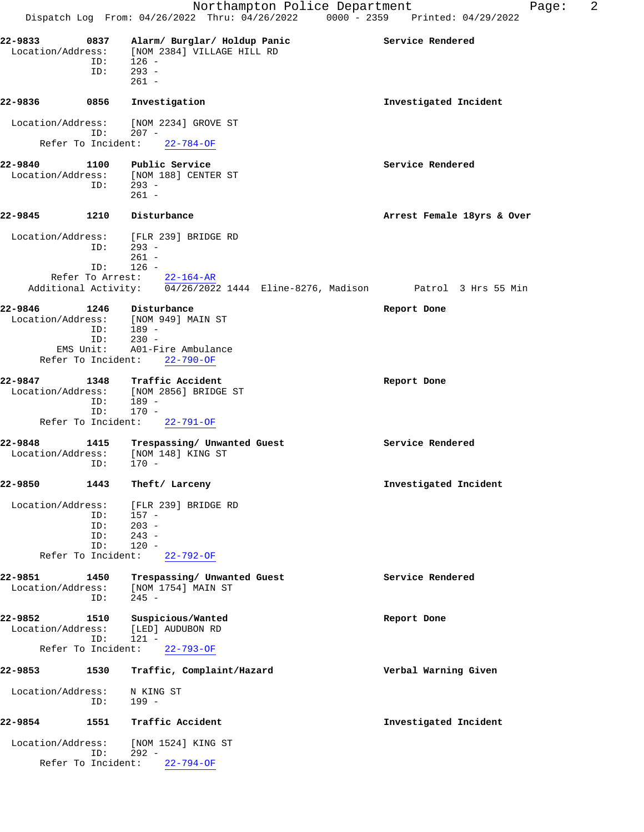**22-9833 0837 Alarm/ Burglar/ Holdup Panic Service Rendered** Location/Address: [NOM 2384] VILLAGE HILL RD ID: 126 - ID: 293 - 261 - **22-9836 0856 Investigation Investigated Incident** Location/Address: [NOM 2234] GROVE ST ID: 207 - ID: 207 -<br>Refer To Incident: 22-784-OF **22-9840 1100 Public Service Service Rendered** Location/Address: [NOM 188] CENTER ST<br>ID: 293 -ID: 261 - **22-9845 1210 Disturbance Arrest Female 18yrs & Over** Location/Address: [FLR 239] BRIDGE RD ID: 293 -  $261 -$  ID: 126 - Refer To Arrest: 22-164-AR Additional Activity: 04/26/2022 1444 Eline-8276, Madison Patrol 3 Hrs 55 Min **22-9846 1246 Disturbance Report Done** Location/Address: [NOM 949] MAIN ST ID: 189 - ID: 230 - EMS Unit: A01-Fire Ambulance Refer To Incident: 22-790-OF **22-9847 1348 Traffic Accident Report Done** Location/Address: [NOM 2856] BRIDGE ST ID: 189 - ID: 170 - Refer To Incident: 22-791-OF **22-9848 1415 Trespassing/ Unwanted Guest Service Rendered** Location/Address: [NOM 148] KING ST ID: 170 - **22-9850 1443 Theft/ Larceny Investigated Incident** Location/Address: [FLR 239] BRIDGE RD ID: 157 - ID: 203 -<br>ID: 243 - $243 -$  ID: 120 - Refer To Incident: 22-792-OF 22-9851 1450 Trespassing/ Unwanted Guest Service Rendered Location/Address: [NOM 1754] MAIN ST Location/Address: [NOM 1754] MAIN ST ID: 245 - **22-9852 1510 Suspicious/Wanted Report Done** Location/Address: [LED] AUDUBON RD ID: 121 - Refer To Incident: 22-793-OF **22-9853 1530 Traffic, Complaint/Hazard Verbal Warning Given** Location/Address: N KING ST ID: 199 - **22-9854 1551 Traffic Accident Investigated Incident** Location/Address: [NOM 1524] KING ST ID: 292 - Refer To Incident: 22-794-OF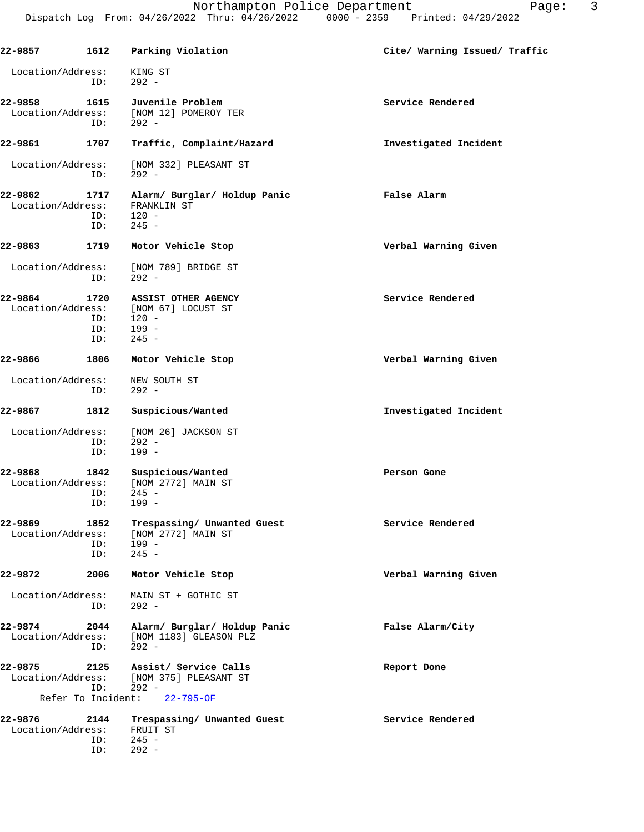**22-9857 1612 Parking Violation Cite/ Warning Issued/ Traffic** Location/Address: KING ST ID: 292 - **22-9858 1615 Juvenile Problem Service Rendered** Service Rendered Location/Address: [NOM 12] POMEROY TER [NOM 12] POMEROY TER ID: 292 - **22-9861 1707 Traffic, Complaint/Hazard Investigated Incident** Location/Address: [NOM 332] PLEASANT ST ID: 292 - **22-9862 1717 Alarm/ Burglar/ Holdup Panic False Alarm** Location/Address: ID: 120 - ID: 245 - **22-9863 1719 Motor Vehicle Stop Verbal Warning Given** Location/Address: [NOM 789] BRIDGE ST<br>ID: 292 - $292 -$ **22-9864 1720 ASSIST OTHER AGENCY Service Rendered** Location/Address: [NOM 67] LOCUST ST<br>ID: 120 -ID: 120 -<br>ID: 199 - ID: 199 - ID: 245 - **22-9866 1806 Motor Vehicle Stop Verbal Warning Given** Location/Address: NEW SOUTH ST ID: 292 - **22-9867 1812 Suspicious/Wanted Investigated Incident** Location/Address: [NOM 26] JACKSON ST ID: 292 - ID: 199 - **22-9868 1842 Suspicious/Wanted Person Gone** Location/Address: [NOM 2772] MAIN ST ID: 245 - ID: 199 - **22-9869 1852 Trespassing/ Unwanted Guest Service Rendered** Location/Address: [NOM 2772] MAIN ST ID: 199 -<br>ID: 245 - $245 -$ **22-9872 2006 Motor Vehicle Stop Verbal Warning Given** Location/Address: MAIN ST + GOTHIC ST ID: 292 - **22-9874 2044 Alarm/ Burglar/ Holdup Panic False Alarm/City** Location/Address: [NOM 1183] GLEASON PLZ ID: 292 - **22-9875 2125 Assist/ Service Calls Report Done** Location/Address: [NOM 375] PLEASANT ST 292 -<br>nt: 22-795-0F Refer To Incident: **22-9876 2144 Trespassing/ Unwanted Guest Service Rendered** Location/Address: FRUIT ST<br>ID: 245 - $245 -$ 

ID: 292 -